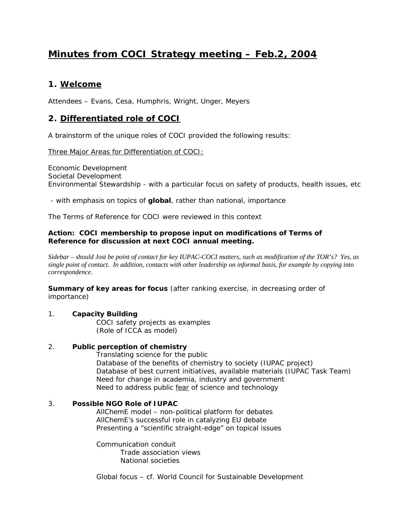# **Minutes from COCI Strategy meeting – Feb.2, 2004**

# **1. Welcome**

Attendees – Evans, Cesa, Humphris, Wright, Unger, Meyers

# **2. Differentiated role of COCI**

A brainstorm of the unique roles of COCI provided the following results:

Three Major Areas for Differentiation of COCI:

Economic Development Societal Development Environmental Stewardship - with a particular focus on safety of products, health issues, etc

- with emphasis on topics of **global**, rather than national, importance

The Terms of Reference for COCI were reviewed in this context

#### **Action: COCI membership to propose input on modifications of Terms of Reference for discussion at next COCI annual meeting.**

*Sidebar – should Jost be point of contact for key IUPAC-COCI matters, such as modification of the TOR's? Yes, as single point of contact. In addition, contacts with other leadership on informal basis, for example by copying into correspondence.*

**Summary of key areas for focus** (after ranking exercise, in decreasing order of importance)

#### 1. **Capacity Building**

COCI safety projects as examples (Role of ICCA as model)

#### 2. **Public perception of chemistry**

Translating science for the public Database of the benefits of chemistry to society (IUPAC project) Database of best current initiatives, available materials (IUPAC Task Team) Need for change in academia, industry and government Need to address public *fear* of science and technology

### 3. **Possible NGO Role of IUPAC**

AllChemE model – non-political platform for debates AllChemE's successful role in catalyzing EU debate Presenting a "scientific straight-edge" on topical issues

Communication conduit Trade association views National societies

Global focus – cf. World Council for Sustainable Development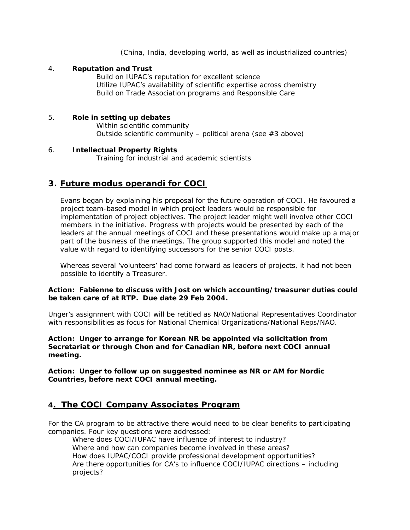(China, India, developing world, as well as industrialized countries)

#### 4. **Reputation and Trust**

Build on IUPAC's reputation for excellent science Utilize IUPAC's availability of scientific expertise across chemistry Build on Trade Association programs and Responsible Care

#### 5. **Role in setting up debates**

Within scientific community Outside scientific community – political arena (see #3 above)

#### 6. **Intellectual Property Rights**

Training for industrial and academic scientists

# **3. Future** *modus operandi* **for COCI**

Evans began by explaining his proposal for the future operation of COCI. He favoured a project team-based model in which project leaders would be responsible for implementation of project objectives. The project leader might well involve other COCI members in the initiative. Progress with projects would be presented by each of the leaders at the annual meetings of COCI and these presentations would make up a major part of the business of the meetings. The group supported this model and noted the value with regard to identifying successors for the senior COCI posts.

Whereas several 'volunteers' had come forward as leaders of projects, it had not been possible to identify a Treasurer.

#### **Action: Fabienne to discuss with Jost on which accounting/treasurer duties could be taken care of at RTP. Due date 29 Feb 2004.**

Unger's assignment with COCI will be retitled as NAO/National Representatives Coordinator with responsibilities as focus for National Chemical Organizations/National Reps/NAO.

#### **Action: Unger to arrange for Korean NR be appointed via solicitation from Secretariat or through Chon and for Canadian NR, before next COCI annual meeting.**

**Action: Unger to follow up on suggested nominee as NR or AM for Nordic Countries, before next COCI annual meeting.**

### **4. The COCI Company Associates Program**

For the CA program to be attractive there would need to be clear benefits to participating companies. Four key questions were addressed:

Where does COCI/IUPAC have influence of interest to industry? Where and how can companies become involved in these areas? How does IUPAC/COCI provide professional development opportunities? Are there opportunities for CA's to influence COCI/IUPAC directions – including projects?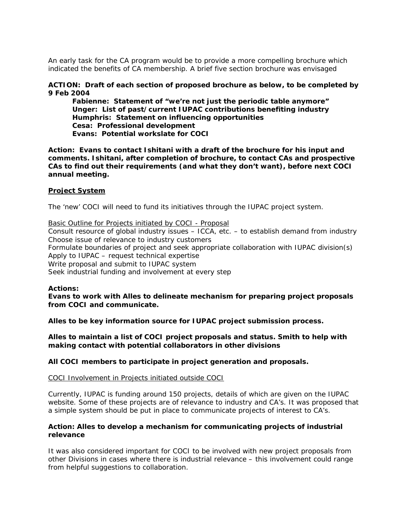An early task for the CA program would be to provide a more compelling brochure which indicated the benefits of CA membership. A brief five section brochure was envisaged

#### **ACTION: Draft of each section of proposed brochure as below, to be completed by 9 Feb 2004**

**Fabienne: Statement of "we're not just the periodic table anymore" Unger: List of past/current IUPAC contributions benefiting industry Humphris: Statement on influencing opportunities Cesa: Professional development Evans: Potential workslate for COCI**

**Action: Evans to contact Ishitani with a draft of the brochure for his input and comments. Ishitani, after completion of brochure, to contact CAs and prospective CAs to find out their requirements (and what they don't want), before next COCI annual meeting.**

#### **Project System**

The 'new' COCI will need to fund its initiatives through the IUPAC project system.

Basic Outline for Projects initiated by COCI - Proposal Consult resource of global industry issues – ICCA, etc. – to establish demand from industry Choose issue of relevance to industry customers Formulate boundaries of project and seek appropriate collaboration with IUPAC division(s) Apply to IUPAC – request technical expertise Write proposal and submit to IUPAC system Seek industrial funding and involvement at every step

#### **Actions:**

**Evans to work with Alles to delineate mechanism for preparing project proposals from COCI and communicate.**

**Alles to be key information source for IUPAC project submission process.** 

**Alles to maintain a list of COCI project proposals and status. Smith to help with making contact with potential collaborators in other divisions** 

**All COCI members to participate in project generation and proposals.**

#### COCI Involvement in Projects initiated outside COCI

Currently, IUPAC is funding around 150 projects, details of which are given on the IUPAC website. Some of these projects are of relevance to industry and CA's. It was proposed that a simple system should be put in place to communicate projects of interest to CA's.

#### **Action: Alles to develop a mechanism for communicating projects of industrial relevance**

It was also considered important for COCI to be involved with new project proposals from other Divisions in cases where there is industrial relevance – this involvement could range from helpful suggestions to collaboration.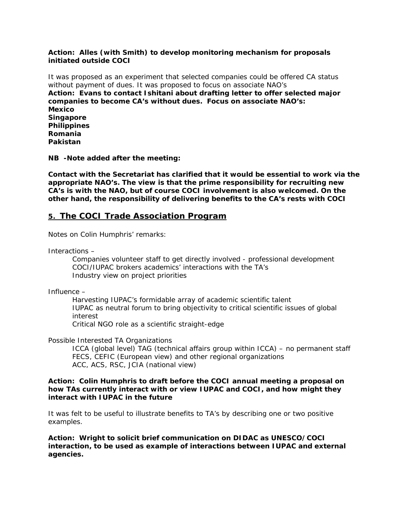#### **Action: Alles (with Smith) to develop monitoring mechanism for proposals initiated outside COCI**

It was proposed as an experiment that selected companies could be offered CA status without payment of dues. It was proposed to focus on associate NAO's **Action: Evans to contact Ishitani about drafting letter to offer selected major companies to become CA's without dues. Focus on associate NAO's: Mexico Singapore Philippines Romania Pakistan**

**NB -Note added after the meeting:**

*Contact with the Secretariat has clarified that it would be essential to work via the appropriate NAO's. The view is that the prime responsibility for recruiting new CA's is with the NAO, but of course COCI involvement is also welcomed. On the other hand, the responsibility of delivering benefits to the CA's rests with COCI*

# **5. The COCI Trade Association Program**

Notes on Colin Humphris' remarks:

Interactions –

Companies volunteer staff to get directly involved - professional development COCI/IUPAC brokers academics' interactions with the TA's Industry view on project priorities

Influence –

Harvesting IUPAC's formidable array of academic scientific talent IUPAC as neutral forum to bring objectivity to critical scientific issues of global interest

Critical NGO role as a scientific straight-edge

Possible Interested TA Organizations

ICCA (global level) TAG (technical affairs group within ICCA) – no permanent staff FECS, CEFIC (European view) and other regional organizations ACC, ACS, RSC, JCIA (national view)

#### **Action: Colin Humphris to draft before the COCI annual meeting a proposal on how TAs currently interact with or view IUPAC and COCI, and how might they interact with IUPAC in the future**

It was felt to be useful to illustrate benefits to TA's by describing one or two positive examples.

**Action: Wright to solicit brief communication on DIDAC as UNESCO/COCI interaction, to be used as example of interactions between IUPAC and external agencies.**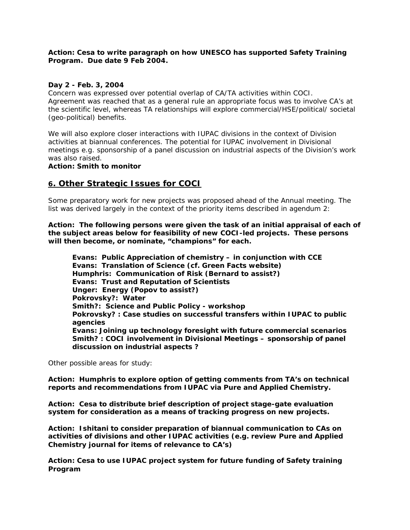#### **Action: Cesa to write paragraph on how UNESCO has supported Safety Training Program. Due date 9 Feb 2004.**

#### **Day 2 - Feb. 3, 2004**

Concern was expressed over potential overlap of CA/TA activities within COCI. Agreement was reached that as a general rule an appropriate focus was to involve CA's at the scientific level, whereas TA relationships will explore commercial/HSE/political/ societal (geo-political) benefits.

We will also explore closer interactions with IUPAC divisions in the context of Division activities at biannual conferences. The potential for IUPAC involvement in Divisional meetings e.g. sponsorship of a panel discussion on industrial aspects of the Division's work was also raised.

#### **Action: Smith to monitor**

### **6. Other Strategic Issues for COCI**

Some preparatory work for new projects was proposed ahead of the Annual meeting. The list was derived largely in the context of the priority items described in agendum 2:

**Action: The following persons were given the task of an initial appraisal of each of the subject areas below for feasibility of new COCI-led projects. These persons will then become, or nominate, "champions" for each.**

**Evans: Public Appreciation of chemistry – in conjunction with CCE Evans: Translation of Science (cf. Green Facts website) Humphris: Communication of Risk (Bernard to assist?) Evans: Trust and Reputation of Scientists Unger: Energy (Popov to assist?) Pokrovsky?: Water Smith?: Science and Public Policy - workshop Pokrovsky? : Case studies on successful transfers within IUPAC to public agencies Evans: Joining up technology foresight with future commercial scenarios Smith? : COCI involvement in Divisional Meetings – sponsorship of panel discussion on industrial aspects ?**

Other possible areas for study:

**Action: Humphris to explore option of getting comments from TA's on technical reports and recommendations from IUPAC via** *Pure and Applied Chemistry.*

**Action: Cesa to distribute brief description of project stage-gate evaluation system for consideration as a means of tracking progress on new projects.**

**Action: Ishitani to consider preparation of biannual communication to CAs on activities of divisions and other IUPAC activities (e.g. review** *Pure and Applied Chemistry* **journal for items of relevance to CA's)**

**Action: Cesa to use IUPAC project system for future funding of Safety training Program**